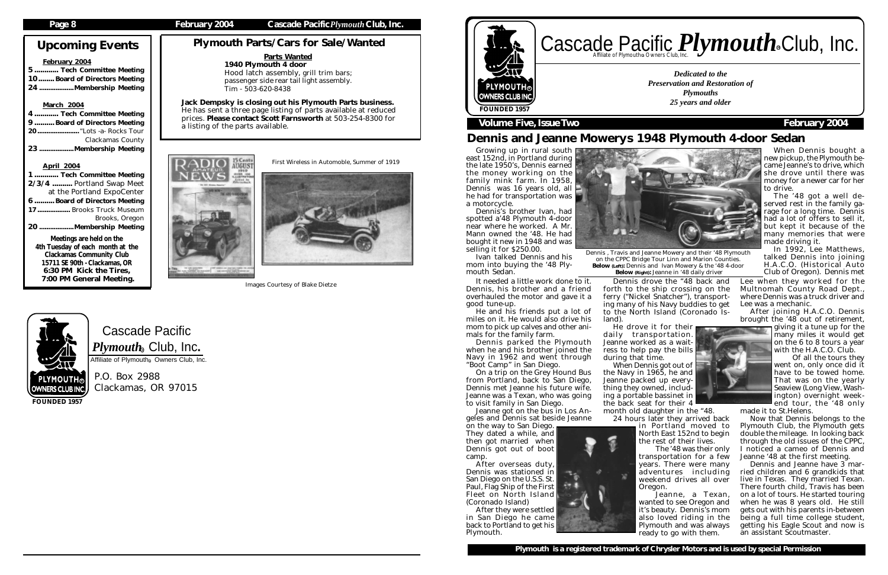Cascade Pacific  $\boldsymbol{P} \boldsymbol{l}$ y $\boldsymbol{m} \boldsymbol{o}$ ut $\boldsymbol{h}_\circledast$  Club, Inc. Affiliate of Plymouth<sup>®</sup> Owners Club, Inc.

P.O. Box 2988 Clackamas, OR 97015

# Upcoming Events

#### February 2004

5 ............ Tech Committee Meeting 10........ Board of Directors Meeting 24 ...................Membership Meeting

### March 2004

| 4  Tech Committee Meeting    |
|------------------------------|
| 9 Board of Directors Meeting |
| 20 "Lots -a- Rocks Tour      |
| <b>Clackamas County</b>      |
| 23 Membership Meeting        |
|                              |

### April 2004

# Cascade Pacific *Plymouth* Souriers Club, Inc. R

| 1  Tech Committee Meeting        |
|----------------------------------|
| 2/3/4  Portland Swap Meet        |
| at the Portland ExpoCenter       |
| 6  Board of Directors Meeting    |
| 17 Brooks Truck Museum           |
| <b>Brooks, Oregon</b>            |
| 20 Membership Meeting            |
| Meetings are held on the         |
| 4th Tuesday of each month at the |
| <b>Clackamas Community Club</b>  |
| 15711 SE 90th - Clackamas, OR    |
| 6:30 PM Kick the Tires,          |

Growing up in rural south east 152nd, in Portland during the late 1950's, Dennis earned the money working on the family mink farm. In 1958, Dennis was 16 years old, all he had for transportation was a motorcycle.

7:00 PM General Meeting.

**FOUNDED 1957**

*Dedicated to the Preservation and Restoration of Plymouths 25 years and older*





# **Volume Five, Issue Two February 2004**

# Dennis and Jeanne Mowerys 1948 Plymouth 4-door Sedan

Plymouth Parts/Cars for Sale/Wanted

Dennis's brother Ivan, had spotted a'48 Plymouth 4-door near where he worked. A Mr. Mann owned the '48. He had bought it new in 1948 and was selling it for \$250.00.

Ivan talked Dennis and his mom into buying the '48 Plymouth Sedan.

Dennis , Travis and Jeanne Mowery and their '48 Plymouth on the CPPC Bridge Tour Linn and Marion Counties. Below (Left): Dennis and Ivan Mowery & the '48 4-door Below (Right): Jeanne in '48 daily driver

Jack Dempsky is closing out his Plymouth Parts business. He has sent a three page listing of parts available at reduced prices. Please contact Scott Farnsworth at 503-254-8300 for a listing of the parts available.



When Dennis bought a new pickup, the Plymouth became Jeanne's to drive, which she drove until there was money for a newer car for her to drive.

The '48 got a well deserved rest in the family garage for a long time. Dennis had a lot of offers to sell it, but kept it because of the many memories that were made driving it.

In 1992, Lee Matthews, talked Dennis into joining H.A.C.O. (Historical Auto Club of Oregon). Dennis met

It needed a little work done to it. Dennis, his brother and a friend overhauled the motor and gave it a good tune-up.

He and his friends put a lot of miles on it. He would also drive his mom to pick up calves and other animals for the family farm.

Dennis parked the Plymouth when he and his brother joined the Navy in 1962 and went through "Boot Camp" in San Diego.

On a trip on the Grey Hound Bus from Portland, back to San Diego, Dennis met Jeanne his future wife. Jeanne was a Texan, who was going to visit family in San Diego.

Jeanne got on the bus in Los Angeles and Dennis sat beside Jeanne

on the way to San Diego. They dated a while, and then got married when Dennis got out of boot camp.

After overseas duty, Dennis was stationed in San Diego on the U.S.S. St. Paul, Flag Ship of the First Fleet on North Island (Coronado Island)

After they were settled in San Diego he came back to Portland to get his Plymouth.



Dennis drove the "48 back and forth to the ship crossing on the ferry ("Nickel Snatcher"), transporting many of his Navy buddies to get to the North Island (Coronado Is-

land).

He drove it for their daily transportation. Jeanne worked as a waitress to help pay the bills during that time.

When Dennis got out of

the Navy in 1965, he and Jeanne packed up everything they owned, including a portable bassinet in the back seat for their 4

month old daughter in the "48. 24 hours later they arrived back in Portland moved to North East 152nd to begin

the rest of their lives. The '48 was their only transportation for a few years. There were many adventures including weekend drives all over Oregon.

Jeanne, a Texan, wanted to see Oregon and it's beauty. Dennis's mom also loved riding in the Plymouth and was always ready to go with them.

Lee when they worked for the Multnomah County Road Dept., where Dennis was a truck driver and Lee was a mechanic.

After joining H.A.C.O. Dennis brought the '48 out of retirement,

giving it a tune up for the many miles it would get on the 6 to 8 tours a year with the H.A.C.O. Club.

Of all the tours they went on, only once did it have to be towed home. That was on the yearly Seaview (Long View, Washington) overnight weekend tour, the '48 only

made it to St.Helens.

Now that Dennis belongs to the Plymouth Club, the Plymouth gets double the mileage. In looking back through the old issues of the CPPC, I noticed a cameo of Dennis and Jeanne '48 at the first meeting.

Dennis and Jeanne have 3 married children and 6 grandkids that live in Texas. They married Texan. There fourth child, Travis has been on a lot of tours. He started touring when he was 8 years old. He still gets out with his parents in-between being a full time college student, getting his Eagle Scout and now is an assistant Scoutmaster.



### Parts Wanted 1940 Plymouth 4 door

Hood latch assembly, grill trim bars; passenger side rear tail light assembly. Tim - 503-620-8438

First Wireless in Automoble, Summer of 1919



Images Courtesy of Blake Dietze

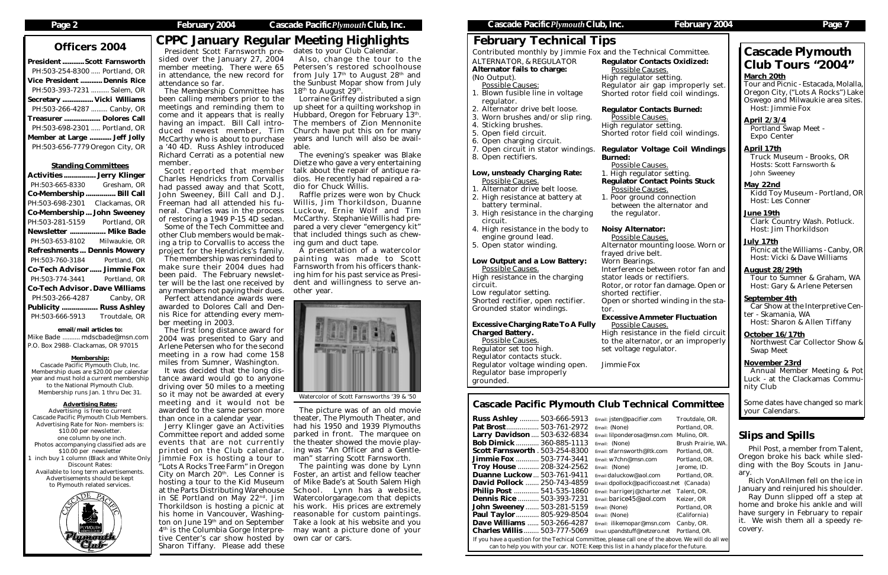| <b>President  Scott Farnsworth</b> |  |
|------------------------------------|--|
| PH:503-254-8300  Portland, OR      |  |
| <b>Vice President  Dennis Rice</b> |  |
| PH:503-393-7231  Salem, OR         |  |
| Secretary  Vicki Williams          |  |
| PH:503-266-4287  Canby, OR         |  |
| Treasurer  Dolores Call            |  |
| PH:503-698-2301  Portland, OR      |  |
| Member at Large  Jeff Jolly        |  |
| PH:503-656-7779 Oregon City, OR    |  |
|                                    |  |

#### Standing Committees

| <b>Activities  Jerry Klinger</b>      |                    |
|---------------------------------------|--------------------|
| PH:503-665-8330                       | Gresham, OR        |
| Co-Membership                         | Bill Call          |
| PH:503-698-2301                       | Clackamas, OR      |
| <b>Co-Membership John Sweeney</b>     |                    |
| PH:503-281-5159                       | Portland, OR       |
| Newsletter  Mike Bade                 |                    |
| PH:503-653-8102                       | Milwaukie, OR      |
| <b>Refreshments Dennis Mowery</b>     |                    |
| PH:503-760-3184                       | Portland, OR       |
| <b>Co-Tech Advisor Jimmie Fox</b>     |                    |
| PH:503-774-3441                       |                    |
|                                       | Portland, OR       |
| <b>Co-Tech Advisor. Dave Williams</b> |                    |
| PH:503-266-4287                       | Canby, OR          |
| <b>Publicity </b>                     | <b>Russ Ashley</b> |
| PH:503-666-5913                       | Troutdale, OR      |

#### email/mail articles to:

Mike Bade .......... mdscbade@msn.com P.O. Box 2988- Clackamas, OR 97015

#### Membership:

Cascade Pacific Plymouth Club, Inc. Membership dues are \$20.00 per calendar year and must hold a current membership to the National Plymouth Club. Membership runs Jan. 1 thru Dec 31.

#### Advertising Rates:

Advertising is free to current Cascade Pacific Plymouth Club Members. Advertising Rate for Non- members is: \$10.00 per newsletter. one column by one inch. Photos accompanying classified ads are \$10.00 per newsletter inch buy 1 column (Black and White Only Discount Rates: Available to long term advertisements. Advertisements should be kept to Plymouth related services.



The first long distance award for 2004 was presented to Gary and Arlene Petersen who for the second meeting in a row had come 158 miles from Sumner, Washington.

### **Page 2 February 2004 Cascade Pacific***Plymouth***Club, Inc. Cascade Pacific***Plymouth***Club, Inc. February 2004 Page 7**

President Scott Farnsworth presided over the January 27, 2004 member meeting. There were 65 in attendance, the new record for attendance so far.

- Possible Causes: 1. Blown fusible line in voltage regulator.
- 2. Alternator drive belt loose.
- 3. Worn brushes and/or slip ring.
- 4. Sticking brushes.
- 5. Open field circuit.
- 6. Open charging circuit.
- 7. Open circuit in stator windings.
- 8. Open rectifiers.

The Membership Committee has been calling members prior to the meetings and reminding them to come and it appears that is really having an impact. Bill Call introduced newest member, Tim McCarthy who is about to purchase a '40 4D. Russ Ashley introduced Richard Cerrati as a potential new member.

Scott reported that member Charles Hendricks from Corvallis had passed away and that Scott, John Sweeney, Bill Call and D.J. Freeman had all attended his funeral. Charles was in the process of restoring a 1949 P-15 4D sedan. Some of the Tech Committee and other Club members would be making a trip to Corvallis to access the

project for the Hendricks's family. The membership was reminded to make sure their 2004 dues had been paid. The February newsletter will be the last one received by any members not paying their dues. Perfect attendance awards were awarded to Dolores Call and Dennis Rice for attending every member meeting in 2003.

It was decided that the long distance award would go to anyone driving over 50 miles to a meeting so it may not be awarded at every meeting and it would not be awarded to the same person more than once in a calendar year.

Jerry Klinger gave an Activities Committee report and added some events that are not currently printed on the Club calendar. Jimmie Fox is hosting a tour to "Lots A Rocks Tree Farm" in Oregon City on March  $20<sup>th</sup>$ . Les Conner is hosting a tour to the Kid Museum at the Parts Distributing Warehouse in SE Portland on May 22nd. Jim Thorkildson is hosting a picnic at his home in Vancouver, Washington on June 19<sup>th</sup> and on September  $4<sup>th</sup>$  is the Columbia Gorge Interpretive Center's car show hosted by Sharon Tiffany. Please add these

# February Technical Tips

ALTERNATOR, & REGULATOR Alternator fails to charge:

# (No Output).

### Officers 2004 CPPC January Regular Meeting Highlights dates to your Club Calendar.

Also, change the tour to the Petersen's restored schoolhouse from July  $17<sup>th</sup>$  to August  $28<sup>th</sup>$  and the Sunbust Mopar show from July 18<sup>th</sup> to August  $29<sup>th</sup>$ .

#### Low, unsteady Charging Rate: Possible Causes.

- 1. Alternator drive belt loose.
- 2. High resistance at battery at
- battery terminal. 3. High resistance in the charging
- circuit.
- 4. High resistance in the body to engine ground lead.
- 5. Open stator winding.

# Low Output and a Low Battery:

Possible Causes. High resistance in the charging circuit.

Low regulator setting. Shorted rectifier, open rectifier. Grounded stator windings.

#### Excessive Charging Rate To A Fully Charged Battery.

Possible Causes. Regulator set too high. Regulator contacts stuck. Regulator voltage winding open. Regulator base improperly grounded.

Regulator Contacts Oxidized: Possible Causes. High regulator setting. Regulator air gap improperly set. Shorted rotor field coil windings.

Regulator Contacts Burned: Possible Causes. High regulator setting. Shorted rotor field coil windings.

### Regulator Voltage Coil Windings

# Burned:

Possible Causes. 1. High regulator setting. Regulator Contact Points Stuck Possible Causes. 1. Poor ground connection between the alternator and the regulator.

- 
- 

### Noisy Alternator:

Possible Causes. Alternator mounting loose. Worn or frayed drive belt. Worn Bearings. Interference between rotor fan and stator leads or rectifiers. Rotor, or rotor fan damage. Open or shorted rectifier. Open or shorted winding in the stator.

### Excessive Ammeter Fluctuation

High resistance in the field circuit to the alternator, or an improperly

Possible Causes. set voltage regulator.

*Jimmie Fox*

Contributed monthly by Jimmie Fox and the Technical Committee.

# Cascade Pacific Plymouth Club Technical Committee

| <b>Russ Ashley  503-666-5913</b>                                                                   | Email: jsten@pacifier.com                   | Troutdale, OR.      |  |  |
|----------------------------------------------------------------------------------------------------|---------------------------------------------|---------------------|--|--|
| Pat Brost 503-761-2972                                                                             | <i>Email: (None)</i>                        | Portland, OR.       |  |  |
| Larry Davidson  503-632-6834                                                                       | Email: lilponderosa@msn.com                 | Mulino, OR.         |  |  |
| <b>Bob Dimick  360-885-1113</b>                                                                    | Email: (None)                               | Brush Prairie, WA.  |  |  |
| <b>Scott Farnsworth . 503-254-8300</b>                                                             | Email: sfarnsworth@ltk.com                  | Portland, OR.       |  |  |
| <b>Jimmie Fox </b> 503-774-3441                                                                    | Email: w7chn@msn.com                        | Portland, OR.       |  |  |
| Troy House  208-324-2562                                                                           | Email: (None)                               | Jerome, ID.         |  |  |
| <b>Duanne Luckow 503-761-9411</b>                                                                  | Email daluckow@aol.com                      | Portland, OR.       |  |  |
| <b>David Pollock  250-743-4859</b>                                                                 | Email: dpollock@pacificcoast.net (Canada)   |                     |  |  |
| Philip Post  541-535-1860                                                                          | Email: harrigerj@charter.net                | Talent, OR.         |  |  |
| <b>Dennis Rice  503-393-7231</b>                                                                   | Email: barice45@aol.com                     | Keizer, OR          |  |  |
| <b>John Sweeney</b> 503-281-5159                                                                   | <i>Email: (None)</i>                        | Portland, OR        |  |  |
| Paul Taylor 805-929-8504                                                                           | Email: (None)                               | <i>(California)</i> |  |  |
| Dave Williams  503-266-4287                                                                        | Email: ilikemopar@msn.com                   | Canby, OR.          |  |  |
| <b>Charles Willis 503-777-5069</b>                                                                 | Email: upandstuff@netzero.net Portland, OR. |                     |  |  |
| If you have a question for the Techical Committee, please call one of the above. We will do all we |                                             |                     |  |  |
| can to help you with your car. NOTE: Keep this list in a handy place for the future.               |                                             |                     |  |  |

# Cascade Plymouth Club Tours "2004"

### March 20th

Tour and Picnic - Estacada, Molalla, Oregon City, ("Lots A Rocks") Lake Oswego and Milwaukie area sites. Host: Jimmie Fox

April 2/3/4 Portland Swap Meet - Expo Center

April 17th Truck Museum - Brooks, OR Hosts: Scott Farnsworth & John Sweeney

May 22nd Kidd Toy Museum - Portland, OR Host: Les Conner

June 19th Clark Country Wash. Potluck. Host: Jim Thorkildson

July 17th Picnic at the Williams - Canby, OR Host: Vicki & Dave Williams

August 28/29th Tour to Sumner & Graham, WA Host: Gary & Arlene Petersen

September 4th Car Show at the Interpretive Center - Skamania, WA Host: Sharon & Allen Tiffany

October 16/17th Northwest Car Collector Show & Swap Meet

November 23rd Annual Member Meeting & Pot Luck - at the Clackamas Community Club

Some dates have changed so mark your Calendars.

Lorraine Griffey distributed a sign up sheet for a quilting workshop in Hubbard, Oregon for February  $13<sup>th</sup>$ . The members of Zion Mennonite Church have put this on for many years and lunch will also be available.

The evening's speaker was Blake Dietze who gave a very entertaining talk about the repair of antique radios. He recently had repaired a radio for Chuck Willis.

Raffle prizes were won by Chuck Willis, Jim Thorkildson, Duanne Luckow, Ernie Wolf and Tim McCarthy. Stephanie Willis had prepared a very clever "emergency kit" that included things such as chewing gum and duct tape.

A presentation of a watercolor painting was made to Scott Farnsworth from his officers thanking him for his past service as President and willingness to serve another year.

The picture was of an old movie theater, The Plymouth Theater, and had his 1950 and 1939 Plymouths parked in front. The marquee on the theater showed the movie playing was "An Officer and a Gentleman" starring Scott Farnsworth.

The painting was done by Lynn Foster, an artist and fellow teacher of Mike Bade's at South Salem High School. Lynn has a website, Watercolorgarage.com that depicts his work. His prices are extremely reasonable for custom paintings. Take a look at his website and you may want a picture done of your own car or cars.

# Slips and Spills

Phil Post, a member from Talent, Oregon broke his back while sledding with the Boy Scouts in January.

Rich VonAllmen fell on the ice in January and reinjured his shoulder.

Ray Dunn slipped off a step at home and broke his ankle and will have surgery in February to repair it. We wish them all a speedy recovery.

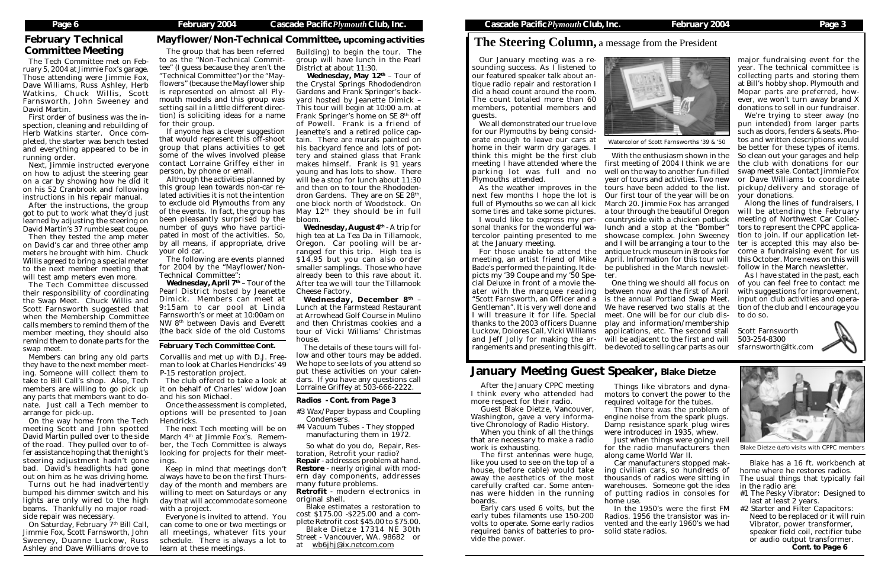# **The Steering Column,** a message from the President

Our January meeting was a resounding success. As I listened to our featured speaker talk about antique radio repair and restoration I did a head count around the room. The count totaled more than 60 members, potential members and guests.

We all demonstrated our true love for our Plymouths by being considerate enough to leave our cars at home in their warm dry garages. I think this might be the first club meeting I have attended where the parking lot was full and no Plymouths attended.

ater with the marquee reading between now and the first of April "Scott Farnsworth, an Officer and a is the annual Portland Swap Meet. input on club activities and opera-Gentleman". It is very well done and We have reserved two stalls at the tion of the club and I encourage you thanks to the 2003 officers Duanne play and information/membership rangements and presenting this gift. be devoted to selling car parts as our sfarnsworth@ltk.com One thing we should all focus on meet. One will be for our club dis-to do so. applications, etc. The second stall Scott Farnsworth will be adjacent to the first and will

As the weather improves in the full of Plymouths so we can all kick some tires and take some pictures.

I would like to express my personal thanks for the wonderful watercolor painting presented to me at the January meeting.

For those unable to attend the meeting, an artist friend of Mike Bade's performed the painting. It depicts my '39 Coupe and my '50 Special Deluxe in front of a movie the-I will treasure it for life. Special Luckow, Dolores Call, Vicki Williams and Jeff Jolly for making the ar-

next few months I hope the lot is Our first tour of the year will be on With the enthusiasm shown in the first meeting of 2004 I think we are well on the way to another fun-filled year of tours and activities. Two new tours have been added to the list. March 20. Jimmie Fox has arranged a tour through the beautiful Oregon countryside with a chicken potluck lunch and a stop at the "Bomber" showcase complex. John Sweeney and I will be arranging a tour to the ter is accepted this may also beantique truck museum in Brooks for April. Information for this tour will be published in the March newsletter.

major fundraising event for the year. The technical committee is collecting parts and storing them at Bill's hobby shop. Plymouth and Mopar parts are preferred, however, we won't turn away brand X donations to sell in our fundraiser.

We're trying to steer away (no pun intended) from larger parts such as doors, fenders & seats. Photos and written descriptions would be better for these types of items. So clean out your garages and help the club with donations for our swap meet sale. Contact Jimmie Fox or Dave Williams to coordinate pickup/delivery and storage of your donations.

On Saturday, February 7<sup>th</sup> Bill Call, Jimmie Fox, Scott Farnsworth, John Sweeney, Duanne Luckow, Russ Ashley and Dave Williams drove to

Along the lines of fundraisers, I will be attending the February meeting of Northwest Car Collectors to represent the CPPC application to join. If our application letcome a fundraising event for us this October. More news on this will follow in the March newsletter.

As I have stated in the past, each of you can feel free to contact me with suggestions for improvement,

503-254-8300



The Tech Committee met on February 5, 2004 at Jimmie Fox's garage. Those attending were Jimmie Fox, Dave Williams, Russ Ashley, Herb Watkins, Chuck Willis, Scott Farnsworth, John Sweeney and David Martin.

> The following are events planned for 2004 by the "Mayflower/Non-Technical Committee":

First order of business was the inspection, cleaning and rebuilding of Herb Watkins starter. Once completed, the starter was bench tested and everything appeared to be in running order.

> Wednesday, April  $7<sup>th</sup>$  – Tour of the Pearl District hosted by Jeanette Dimick. Members can meet at 9:15am to car pool at Linda Farnsworth's or meet at 10:00am on NW 8th between Davis and Everett (the back side of the old Customs

Next, Jimmie instructed everyone on how to adjust the steering gear on a car by showing how he did it on his 52 Cranbrook and following instructions in his repair manual.

After the instructions, the group got to put to work what they'd just learned by adjusting the steering on David Martin's 37 rumble seat coupe.

Wednesday, May 12<sup>th</sup> - Tour of the Crystal Springs Rhododendron Gardens and Frank Springer's backyard hosted by Jeanette Dimick – This tour will begin at 10:00 a.m. at Frank Springer's home on SE 8<sup>th</sup> off of Powell. Frank is a friend of Jeanette's and a retired police captain. There are murals painted on his backyard fence and lots of pottery and stained glass that Frank makes himself. Frank is 91 years young and has lots to show. There will be a stop for lunch about 11:30 and then on to tour the Rhododendron Gardens. They are on SE 28<sup>th</sup>, one block north of Woodstock. On May  $12<sup>th</sup>$  they should be in full bloom.

Then they tested the amp meter on David's car and three other amp meters he brought with him. Chuck Willis agreed to bring a special meter to the next member meeting that will test amp meters even more.

**Wednesday, August**  $4<sup>th</sup>$  **- A trip for** high tea at La Tea Da in Tillamook, Oregon. Car pooling will be arranged for this trip. High tea is \$14.95 but you can also order smaller samplings. Those who have already been to this rave about it. After tea we will tour the Tillamook Cheese Factory.

Wednesday, December 8<sup>th</sup> -Lunch at the Farmstead Restaurant at Arrowhead Golf Course in Mulino and then Christmas cookies and a tour of Vicki Williams' Christmas house.

The Tech Committee discussed their responsibility of coordinating the Swap Meet. Chuck Willis and Scott Farnsworth suggested that when the Membership Committee calls members to remind them of the member meeting, they should also remind them to donate parts for the swap meet.

Members can bring any old parts they have to the next member meeting. Someone will collect them to take to Bill Call's shop. Also, Tech members are willing to go pick up any parts that members want to donate. Just call a Tech member to arrange for pick-up.

> The first antennas were huge, like you used to see on the top of a house, (before cable) would take away the aesthetics of the most carefully crafted car. Some antennas were hidden in the running boards.

On the way home from the Tech meeting Scott and John spotted David Martin pulled over to the side of the road. They pulled over to offer assistance hoping that the night's steering adjustment hadn't gone bad. David's headlights had gone out on him as he was driving home.

Turns out he had inadvertently bumped his dimmer switch and his lights are only wired to the high beams. Thankfully no major roadside repair was necessary.

- #3 Wax/Paper bypass and Coupling Condensers.
- #4 Vacuum Tubes They stopped manufacturing them in 1972.

# February Technical Committee Meeting

Corvallis and met up with D.J. Freeman to look at Charles Hendricks' 49 P-15 restoration project.

The club offered to take a look at it on behalf of Charles' widow Joan and his son Michael.

Once the assessment is completed, options will be presented to Joan Hendricks.

The next Tech meeting will be on March  $4<sup>th</sup>$  at Jimmie Fox's. Remember, the Tech Committee is always looking for projects for their meetings.

Keep in mind that meetings don't always have to be on the first Thursday of the month and members are willing to meet on Saturdays or any day that will accommodate someone with a project.

Everyone is invited to attend. You can come to one or two meetings or all meetings, whatever fits your schedule. There is always a lot to learn at these meetings.

The group that has been referred to as the "Non-Technical Committee" (I guess because they aren't the "Technical Committee") or the "Mayflowers" (because the Mayflower ship is represented on almost all Plymouth models and this group was setting sail in a little different direction) is soliciting ideas for a name for their group.

If anyone has a clever suggestion that would represent this off-shoot group that plans activities to get some of the wives involved please contact Lorraine Griffey either in person, by phone or email.

Although the activities planned by this group lean towards non-car related activities it is not the intention to exclude old Plymouths from any of the events. In fact, the group has been pleasantly surprised by the number of guys who have participated in most of the activities. So, by all means, if appropriate, drive your old car.

### Mayflower/Non-Technical Committee, upcoming activities

Building) to begin the tour. The group will have lunch in the Pearl District at about 11:30.

The details of these tours will follow and other tours may be added. We hope to see lots of you attend so put these activities on your calendars. If you have any questions call Lorraine Griffey at 503-666-2222.

### *February Tech Committee Cont.*



Watercolor of Scott Farnsworths '39 & '50

After the January CPPC meeting I think every who attended had more respect for their radio.

Guest Blake Dietze, Vancouver, Washington, gave a very informative Chronology of Radio History. When you think of all the things

that are necessary to make a radio work is exhausting.

Early cars used 6 volts, but the early tubes filaments use 150-200 volts to operate. Some early radios required banks of batteries to provide the power.

# January Meeting Guest Speaker, Blake Dietze

Things like vibrators and dynamotors to convert the power to the required voltage for the tubes.

Then there was the problem of engine noise from the spark plugs. Damp resistance spark plug wires were introduced in 1935, whew.

Just when things were going well for the radio manufacturers then along came World War II.

Car manufacturers stopped making civilian cars, so hundreds of thousands of radios were sitting in warehouses. Someone got the idea of putting radios in consoles for

home use.

In the 1950's were the first FM Radios. 1956 the transistor was invented and the early 1960's we had solid state radios.

Blake has a 16 ft. workbench at home where he restores radios. The usual things that typically fail

- in the radio are: #1 The Pesky Vibrator: Designed to
- last at least 2 years.
- #2 Starter and Filter Capacitors: Need to be replaced or it will ruin Vibrator, power transformer, speaker field coil, rectifier tube or audio output transformer. *Cont. to Page 6*

### *Radios - Cont. from Page 3*

So what do you do, Repair, Restoration, Retrofit your radio?

Repair - addresses problem at hand. Restore - nearly original with modern day components, addresses many future problems.

Retrofit - modern electronics in original shell.

Blake estimates a restoration to cost \$175.00 -\$225.00 and a complete Retrofit cost \$45.00 to \$75.00.

Blake Dietze 17314 NE 30th Street - Vancouver, WA. 98682 or at wb6jhj@ix.netcom.com



Blake Dietze (Left) visits with CPPC members